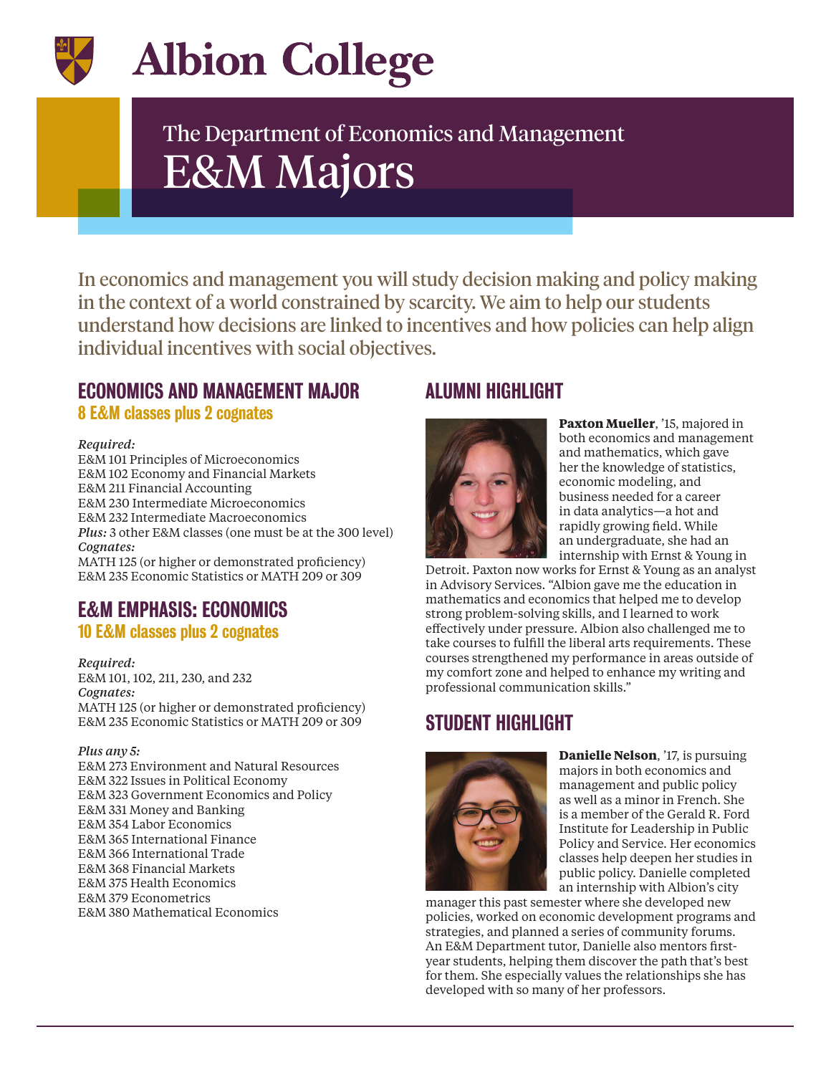

# **Albion College**

# The Department of Economics and Management E&M Majors

In economics and management you will study decision making and policy making in the context of a world constrained by scarcity. We aim to help our students understand how decisions are linked to incentives and how policies can help align individual incentives with social objectives.

# ECONOMICS AND MANAGEMENT MAJOR

8 E&M classes plus 2 cognates

#### *Required:*

E&M 101 Principles of Microeconomics E&M 102 Economy and Financial Markets E&M 211 Financial Accounting E&M 230 Intermediate Microeconomics E&M 232 Intermediate Macroeconomics *Plus:* 3 other E&M classes (one must be at the 300 level) *Cognates:* MATH 125 (or higher or demonstrated proficiency)

E&M 235 Economic Statistics or MATH 209 or 309

# E&M EMPHASIS: ECONOMICS

### 10 E&M classes plus 2 cognates

*Required:*  E&M 101, 102, 211, 230, and 232 *Cognates:* MATH 125 (or higher or demonstrated proficiency) E&M 235 Economic Statistics or MATH 209 or 309

#### *Plus any 5:*

E&M 273 Environment and Natural Resources E&M 322 Issues in Political Economy E&M 323 Government Economics and Policy E&M 331 Money and Banking E&M 354 Labor Economics E&M 365 International Finance E&M 366 International Trade E&M 368 Financial Markets E&M 375 Health Economics E&M 379 Econometrics E&M 380 Mathematical Economics

# ALUMNI HIGHLIGHT



**Paxton Mueller**, '15, majored in both economics and management and mathematics, which gave her the knowledge of statistics, economic modeling, and business needed for a career in data analytics—a hot and rapidly growing field. While an undergraduate, she had an internship with Ernst & Young in

Detroit. Paxton now works for Ernst & Young as an analyst in Advisory Services. "Albion gave me the education in mathematics and economics that helped me to develop strong problem-solving skills, and I learned to work effectively under pressure. Albion also challenged me to take courses to fulfill the liberal arts requirements. These courses strengthened my performance in areas outside of my comfort zone and helped to enhance my writing and professional communication skills."

# STUDENT HIGHLIGHT



**Danielle Nelson**, '17, is pursuing majors in both economics and management and public policy as well as a minor in French. She is a member of the Gerald R. Ford Institute for Leadership in Public Policy and Service. Her economics classes help deepen her studies in public policy. Danielle completed an internship with Albion's city

manager this past semester where she developed new policies, worked on economic development programs and strategies, and planned a series of community forums. An E&M Department tutor, Danielle also mentors firstyear students, helping them discover the path that's best for them. She especially values the relationships she has developed with so many of her professors.